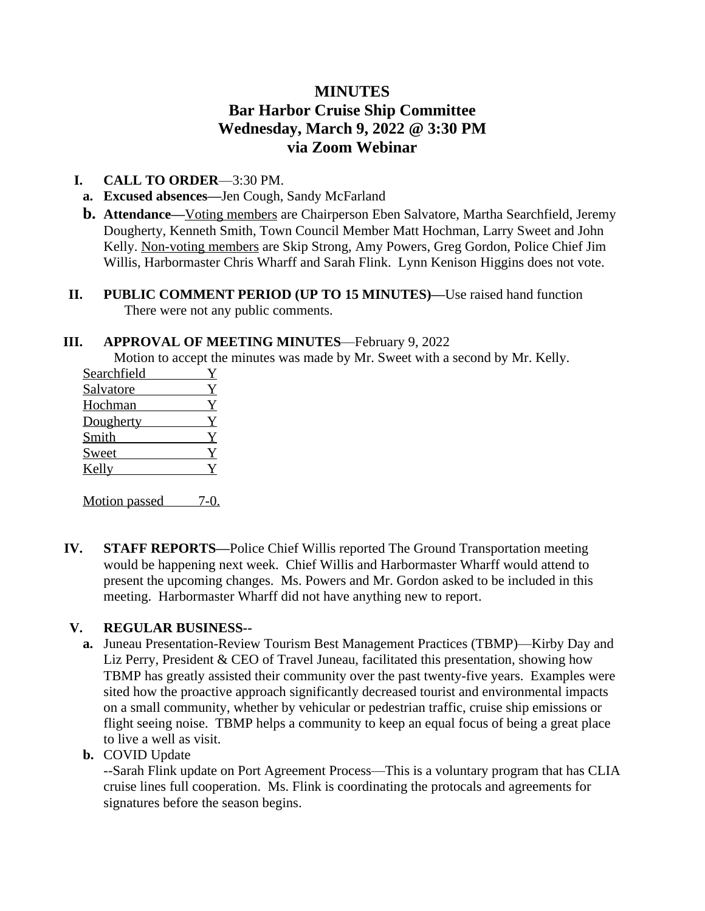# **MINUTES Bar Harbor Cruise Ship Committee Wednesday, March 9, 2022 @ 3:30 PM via Zoom Webinar**

### **I. CALL TO ORDER**—3:30 PM.

- **a. Excused absences—**Jen Cough, Sandy McFarland
- **b.** Attendance—Voting members are Chairperson Eben Salvatore, Martha Searchfield, Jeremy Dougherty, Kenneth Smith, Town Council Member Matt Hochman, Larry Sweet and John Kelly. Non-voting members are Skip Strong, Amy Powers, Greg Gordon, Police Chief Jim Willis, Harbormaster Chris Wharff and Sarah Flink. Lynn Kenison Higgins does not vote.
- **II. PUBLIC COMMENT PERIOD (UP TO 15 MINUTES)—**Use raised hand function There were not any public comments.

#### **III. APPROVAL OF MEETING MINUTES**—February 9, 2022

Motion to accept the minutes was made by Mr. Sweet with a second by Mr. Kelly.

| Searchfield      |  |
|------------------|--|
| <b>Salvatore</b> |  |
| Hochman          |  |
| Dougherty        |  |
| Smith            |  |
| Sweet            |  |
| Kelly            |  |

Motion passed 7-0.

**IV. STAFF REPORTS—**Police Chief Willis reported The Ground Transportation meeting would be happening next week. Chief Willis and Harbormaster Wharff would attend to present the upcoming changes. Ms. Powers and Mr. Gordon asked to be included in this meeting. Harbormaster Wharff did not have anything new to report.

## **V. REGULAR BUSINESS--**

- **a.** Juneau Presentation-Review Tourism Best Management Practices (TBMP)—Kirby Day and Liz Perry, President & CEO of Travel Juneau, facilitated this presentation, showing how TBMP has greatly assisted their community over the past twenty-five years. Examples were sited how the proactive approach significantly decreased tourist and environmental impacts on a small community, whether by vehicular or pedestrian traffic, cruise ship emissions or flight seeing noise. TBMP helps a community to keep an equal focus of being a great place to live a well as visit.
- **b.** COVID Update

--Sarah Flink update on Port Agreement Process—This is a voluntary program that has CLIA cruise lines full cooperation. Ms. Flink is coordinating the protocals and agreements for signatures before the season begins.